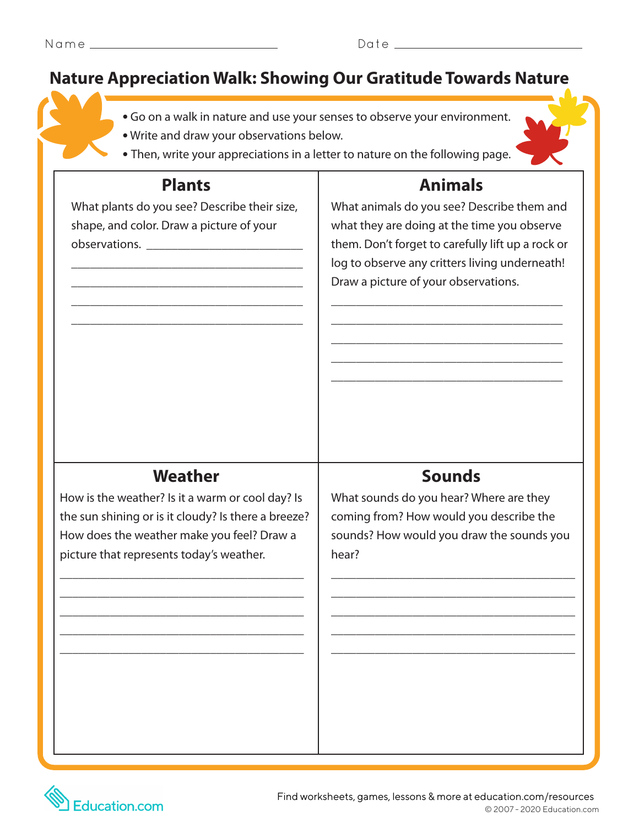## **Nature Appreciation Walk: Showing Our Gratitude Towards Nature**

- **•** Go on a walk in nature and use your senses to observe your environment.
- **•** Write and draw your observations below.
- Then, write your appreciations in a letter to nature on the following page.

What plants do you see? Describe their size, shape, and color. Draw a picture of your observations. \_\_\_\_\_\_\_\_\_\_\_\_\_\_\_\_\_\_\_\_\_\_\_\_\_

\_\_\_\_\_\_\_\_\_\_\_\_\_\_\_\_\_\_\_\_\_\_\_\_\_\_\_\_\_\_\_\_\_\_\_\_\_ \_\_\_\_\_\_\_\_\_\_\_\_\_\_\_\_\_\_\_\_\_\_\_\_\_\_\_\_\_\_\_\_\_\_\_\_\_ \_\_\_\_\_\_\_\_\_\_\_\_\_\_\_\_\_\_\_\_\_\_\_\_\_\_\_\_\_\_\_\_\_\_\_\_\_ \_\_\_\_\_\_\_\_\_\_\_\_\_\_\_\_\_\_\_\_\_\_\_\_\_\_\_\_\_\_\_\_\_\_\_\_\_

# **Plants Animals**

What animals do you see? Describe them and what they are doing at the time you observe them. Don't forget to carefully lift up a rock or log to observe any critters living underneath! Draw a picture of your observations.

\_\_\_\_\_\_\_\_\_\_\_\_\_\_\_\_\_\_\_\_\_\_\_\_\_\_\_\_\_\_\_\_\_\_\_\_\_ \_\_\_\_\_\_\_\_\_\_\_\_\_\_\_\_\_\_\_\_\_\_\_\_\_\_\_\_\_\_\_\_\_\_\_\_\_ \_\_\_\_\_\_\_\_\_\_\_\_\_\_\_\_\_\_\_\_\_\_\_\_\_\_\_\_\_\_\_\_\_\_\_\_\_ \_\_\_\_\_\_\_\_\_\_\_\_\_\_\_\_\_\_\_\_\_\_\_\_\_\_\_\_\_\_\_\_\_\_\_\_\_ \_\_\_\_\_\_\_\_\_\_\_\_\_\_\_\_\_\_\_\_\_\_\_\_\_\_\_\_\_\_\_\_\_\_\_\_\_

### **Weather Sounds**

How is the weather? Is it a warm or cool day? Is the sun shining or is it cloudy? Is there a breeze? How does the weather make you feel? Draw a picture that represents today's weather.

\_\_\_\_\_\_\_\_\_\_\_\_\_\_\_\_\_\_\_\_\_\_\_\_\_\_\_\_\_\_\_\_\_\_\_\_\_\_\_ \_\_\_\_\_\_\_\_\_\_\_\_\_\_\_\_\_\_\_\_\_\_\_\_\_\_\_\_\_\_\_\_\_\_\_\_\_\_\_ \_\_\_\_\_\_\_\_\_\_\_\_\_\_\_\_\_\_\_\_\_\_\_\_\_\_\_\_\_\_\_\_\_\_\_\_\_\_\_ \_\_\_\_\_\_\_\_\_\_\_\_\_\_\_\_\_\_\_\_\_\_\_\_\_\_\_\_\_\_\_\_\_\_\_\_\_\_\_ \_\_\_\_\_\_\_\_\_\_\_\_\_\_\_\_\_\_\_\_\_\_\_\_\_\_\_\_\_\_\_\_\_\_\_\_\_\_\_

What sounds do you hear? Where are they coming from? How would you describe the sounds? How would you draw the sounds you hear?

\_\_\_\_\_\_\_\_\_\_\_\_\_\_\_\_\_\_\_\_\_\_\_\_\_\_\_\_\_\_\_\_\_\_\_\_\_\_\_ \_\_\_\_\_\_\_\_\_\_\_\_\_\_\_\_\_\_\_\_\_\_\_\_\_\_\_\_\_\_\_\_\_\_\_\_\_\_\_ \_\_\_\_\_\_\_\_\_\_\_\_\_\_\_\_\_\_\_\_\_\_\_\_\_\_\_\_\_\_\_\_\_\_\_\_\_\_\_ \_\_\_\_\_\_\_\_\_\_\_\_\_\_\_\_\_\_\_\_\_\_\_\_\_\_\_\_\_\_\_\_\_\_\_\_\_\_\_ \_\_\_\_\_\_\_\_\_\_\_\_\_\_\_\_\_\_\_\_\_\_\_\_\_\_\_\_\_\_\_\_\_\_\_\_\_\_\_